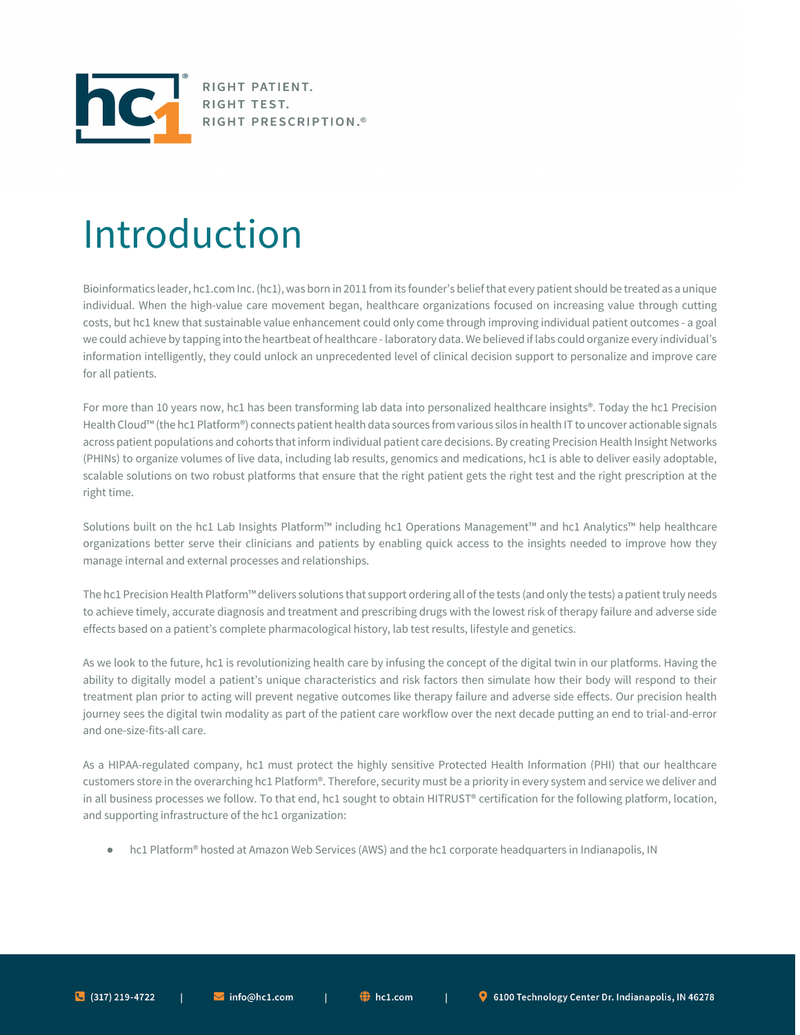

RIGHT PATIENT. RIGHT TEST. RIGHT PRESCRIPTION.<sup>®</sup>

## Introduction

Bioinformatics leader, hc1.com Inc. (hc1), was born in 2011 from its founder's belief that every patient should be treated as a unique individual. When the high-value care movement began, healthcare organizations focused on increasing value through cutting costs, but hc1 knew that sustainable value enhancement could only come through improving individual patient outcomes - a goal we could achieve by tapping into the heartbeat of healthcare - laboratory data. We believed if labs could organize every individual's information intelligently, they could unlock an unprecedented level of clinical decision support to personalize and improve care for all patients.

For more than 10 years now, hc1 has been transforming lab data into personalized healthcare insights®. Today the hc1 Precision Health Cloud™ (the hc1 Platform®) connects patient health data sources from various silos in health IT to uncover actionable signals across patient populations and cohorts that inform individual patient care decisions. By creating Precision Health Insight Networks (PHINs) to organize volumes of live data, including lab results, genomics and medications, hc1 is able to deliver easily adoptable, scalable solutions on two robust platforms that ensure that the right patient gets the right test and the right prescription at the right time.

Solutions built on the hc1 Lab Insights Platform™ including hc1 Operations Management™ and hc1 Analytics™ help healthcare organizations better serve their clinicians and patients by enabling quick access to the insights needed to improve how they manage internal and external processes and relationships.

The hc1 Precision Health Platform™ delivers solutions that support ordering all of the tests (and only the tests) a patient truly needs to achieve timely, accurate diagnosis and treatment and prescribing drugs with the lowest risk of therapy failure and adverse side effects based on a patient's complete pharmacological history, lab test results, lifestyle and genetics.

As we look to the future, hc1 is revolutionizing health care by infusing the concept of the digital twin in our platforms. Having the ability to digitally model a patient's unique characteristics and risk factors then simulate how their body will respond to their treatment plan prior to acting will prevent negative outcomes like therapy failure and adverse side effects. Our precision health journey sees the digital twin modality as part of the patient care workflow over the next decade putting an end to trial-and-error and one-size-fits-all care.

As a HIPAA-regulated company, hc1 must protect the highly sensitive Protected Health Information (PHI) that our healthcare customers store in the overarching hc1 Platform®. Therefore, security must be a priority in every system and service we deliver and in all business processes we follow. To that end, hc1 sought to obtain HITRUST® certification for the following platform, location, and supporting infrastructure of the hc1 organization:

● hc1 Platform® hosted at Amazon Web Services (AWS) and the hc1 corporate headquarters in Indianapolis, IN

 $\blacksquare$  info@hc1.com